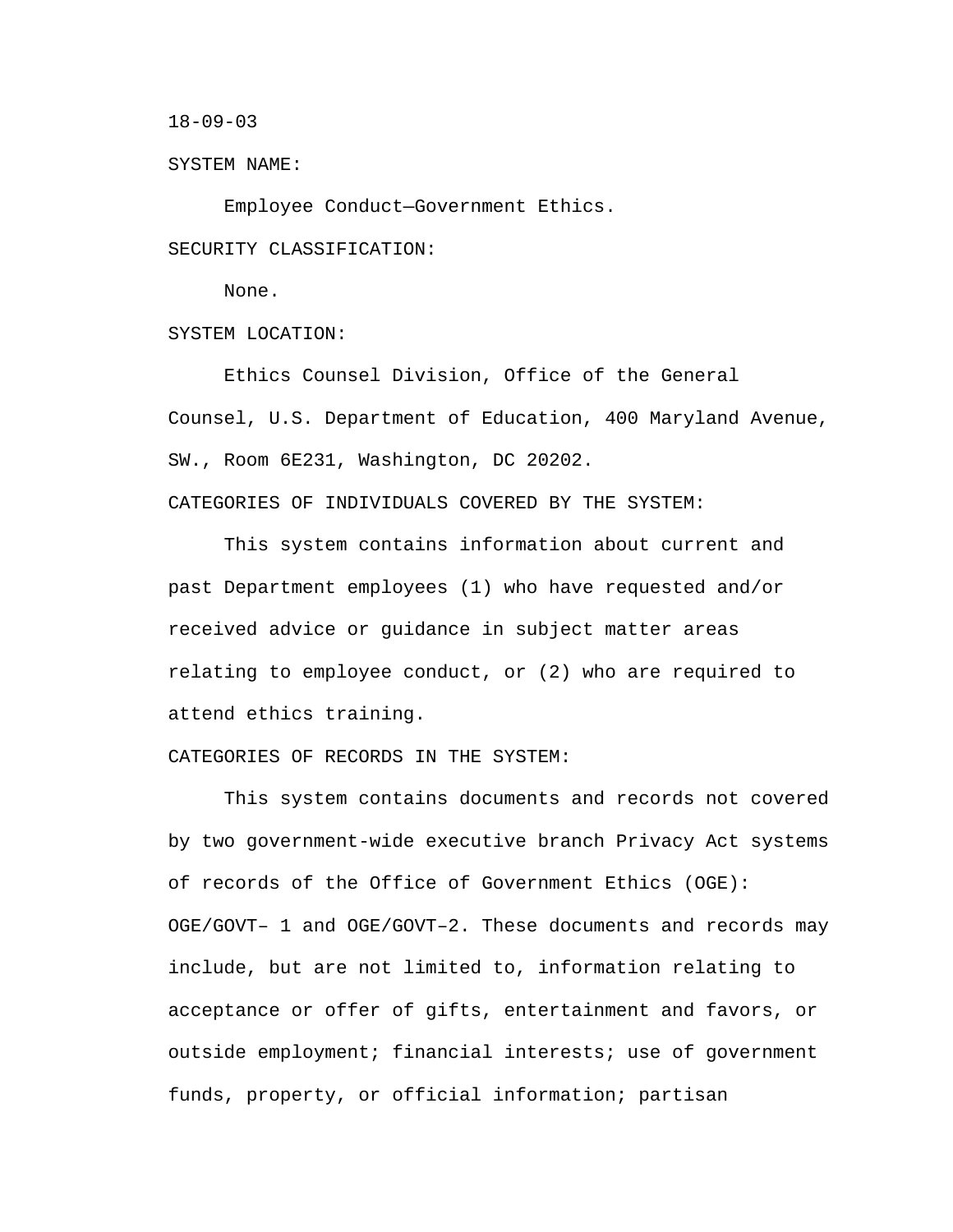18-09-03

SYSTEM NAME:

Employee Conduct—Government Ethics.

SECURITY CLASSIFICATION:

None.

SYSTEM LOCATION:

Ethics Counsel Division, Office of the General Counsel, U.S. Department of Education, 400 Maryland Avenue, SW., Room 6E231, Washington, DC 20202.

CATEGORIES OF INDIVIDUALS COVERED BY THE SYSTEM:

This system contains information about current and past Department employees (1) who have requested and/or received advice or guidance in subject matter areas relating to employee conduct, or (2) who are required to attend ethics training.

CATEGORIES OF RECORDS IN THE SYSTEM:

This system contains documents and records not covered by two government-wide executive branch Privacy Act systems of records of the Office of Government Ethics (OGE): OGE/GOVT– 1 and OGE/GOVT–2. These documents and records may include, but are not limited to, information relating to acceptance or offer of gifts, entertainment and favors, or outside employment; financial interests; use of government funds, property, or official information; partisan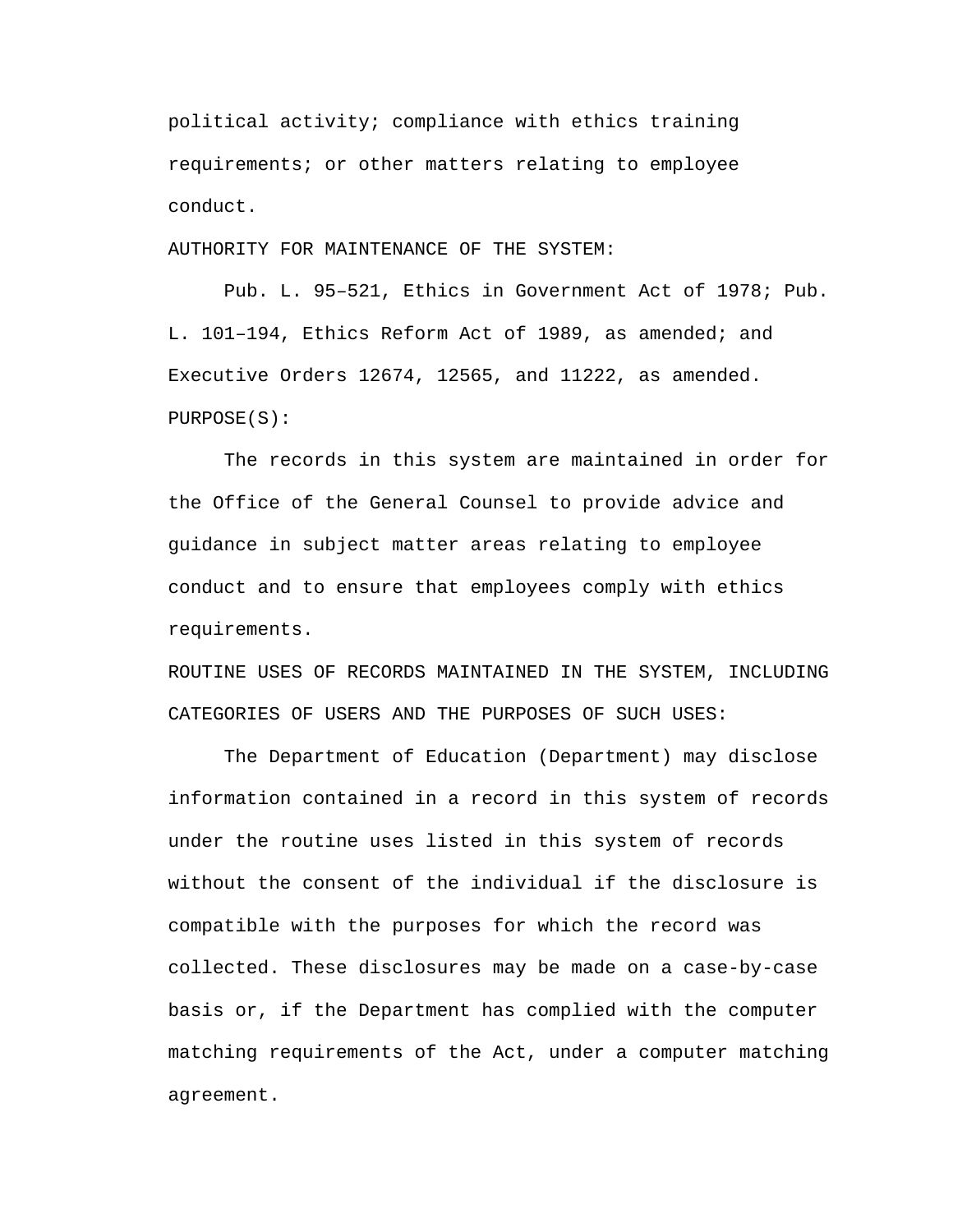political activity; compliance with ethics training requirements; or other matters relating to employee conduct.

AUTHORITY FOR MAINTENANCE OF THE SYSTEM:

Pub. L. 95–521, Ethics in Government Act of 1978; Pub. L. 101–194, Ethics Reform Act of 1989, as amended; and Executive Orders 12674, 12565, and 11222, as amended. PURPOSE(S):

The records in this system are maintained in order for the Office of the General Counsel to provide advice and guidance in subject matter areas relating to employee conduct and to ensure that employees comply with ethics requirements.

ROUTINE USES OF RECORDS MAINTAINED IN THE SYSTEM, INCLUDING CATEGORIES OF USERS AND THE PURPOSES OF SUCH USES:

The Department of Education (Department) may disclose information contained in a record in this system of records under the routine uses listed in this system of records without the consent of the individual if the disclosure is compatible with the purposes for which the record was collected. These disclosures may be made on a case-by-case basis or, if the Department has complied with the computer matching requirements of the Act, under a computer matching agreement.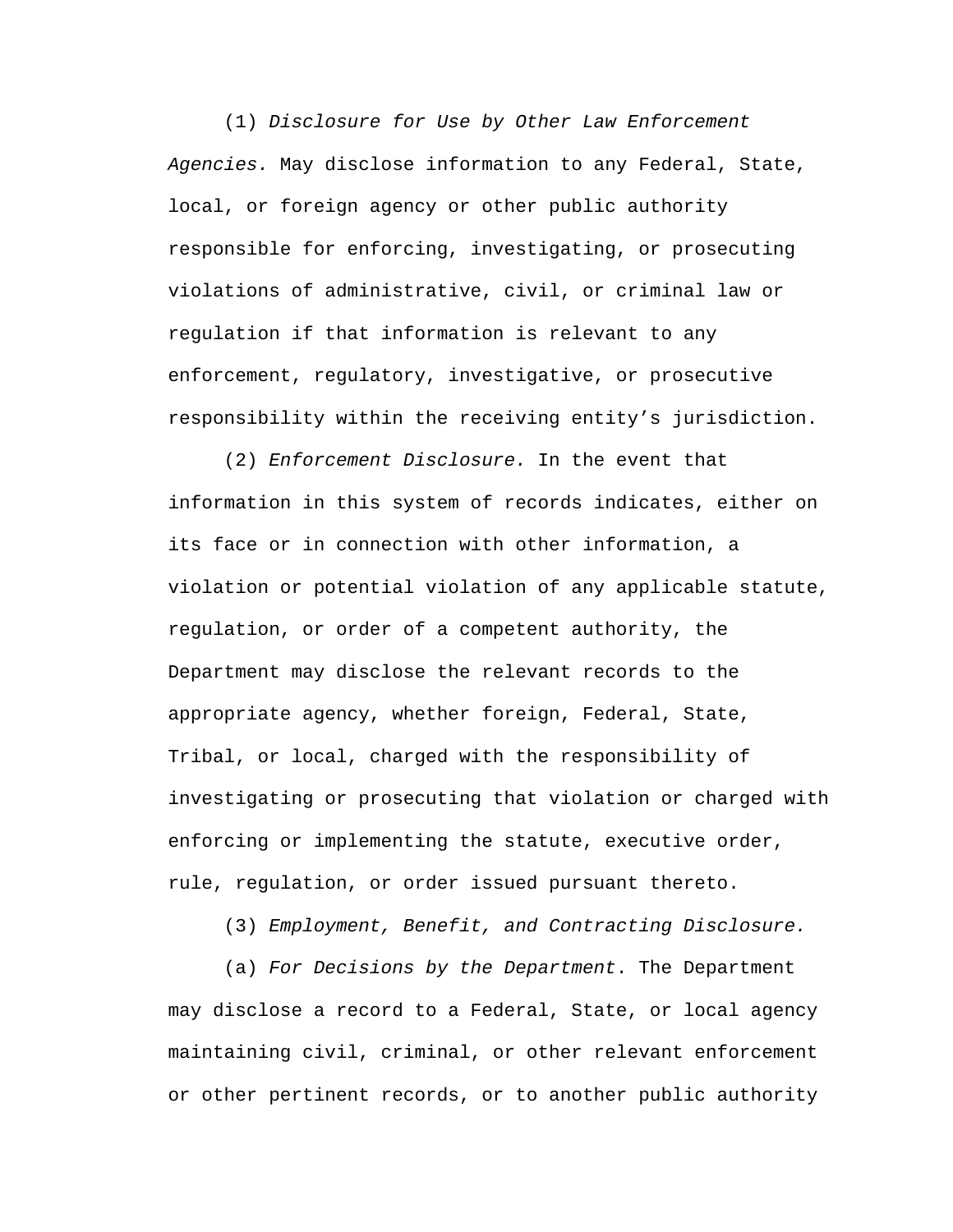(1) *Disclosure for Use by Other Law Enforcement Agencies.* May disclose information to any Federal, State, local, or foreign agency or other public authority responsible for enforcing, investigating, or prosecuting violations of administrative, civil, or criminal law or regulation if that information is relevant to any enforcement, regulatory, investigative, or prosecutive responsibility within the receiving entity's jurisdiction.

(2) *Enforcement Disclosure.* In the event that information in this system of records indicates, either on its face or in connection with other information, a violation or potential violation of any applicable statute, regulation, or order of a competent authority, the Department may disclose the relevant records to the appropriate agency, whether foreign, Federal, State, Tribal, or local, charged with the responsibility of investigating or prosecuting that violation or charged with enforcing or implementing the statute, executive order, rule, regulation, or order issued pursuant thereto.

(3) *Employment, Benefit, and Contracting Disclosure.*

(a) *For Decisions by the Department*. The Department may disclose a record to a Federal, State, or local agency maintaining civil, criminal, or other relevant enforcement or other pertinent records, or to another public authority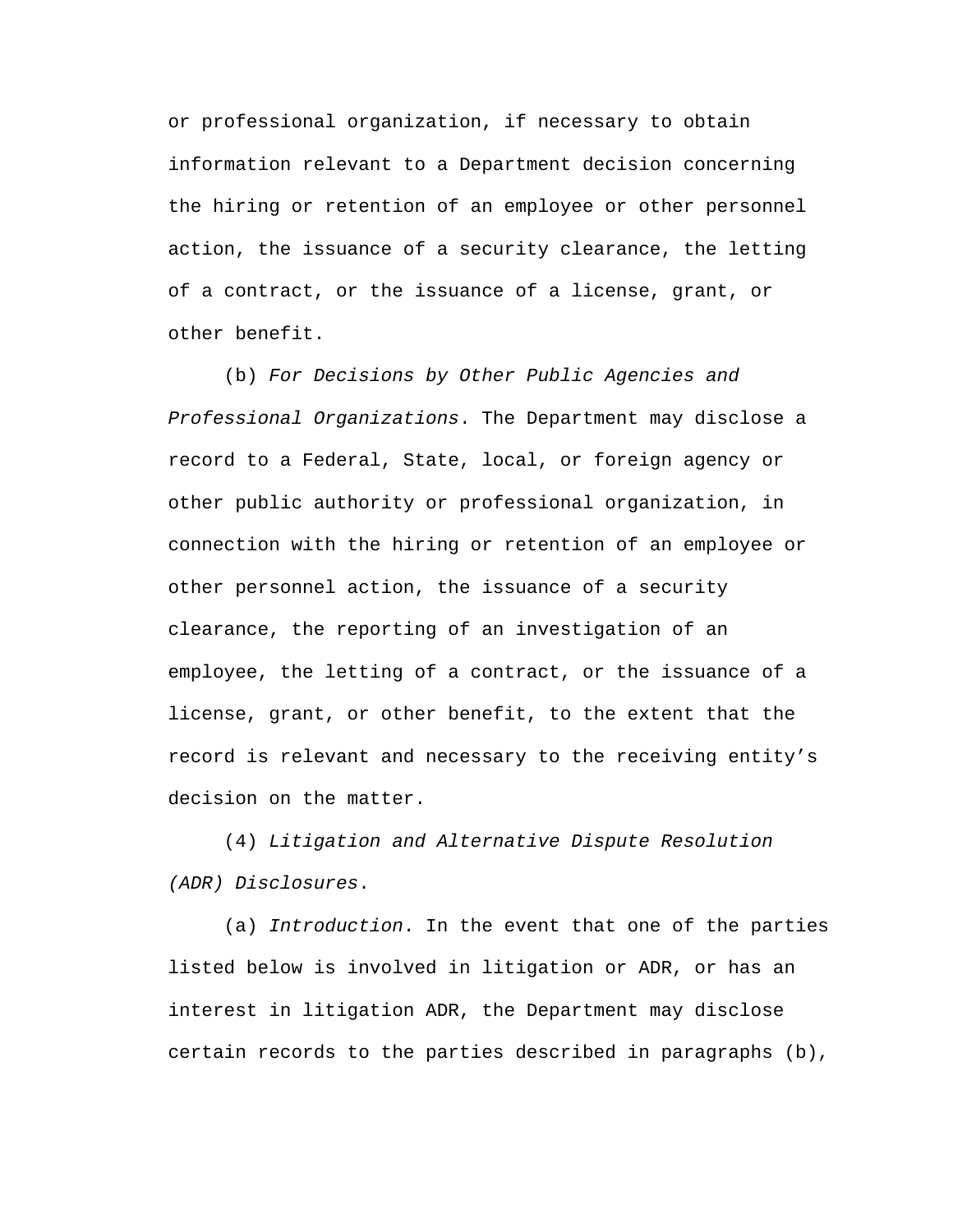or professional organization, if necessary to obtain information relevant to a Department decision concerning the hiring or retention of an employee or other personnel action, the issuance of a security clearance, the letting of a contract, or the issuance of a license, grant, or other benefit.

(b) *For Decisions by Other Public Agencies and Professional Organizations*. The Department may disclose a record to a Federal, State, local, or foreign agency or other public authority or professional organization, in connection with the hiring or retention of an employee or other personnel action, the issuance of a security clearance, the reporting of an investigation of an employee, the letting of a contract, or the issuance of a license, grant, or other benefit, to the extent that the record is relevant and necessary to the receiving entity's decision on the matter.

(4) *Litigation and Alternative Dispute Resolution (ADR) Disclosures*.

(a) *Introduction*. In the event that one of the parties listed below is involved in litigation or ADR, or has an interest in litigation ADR, the Department may disclose certain records to the parties described in paragraphs (b),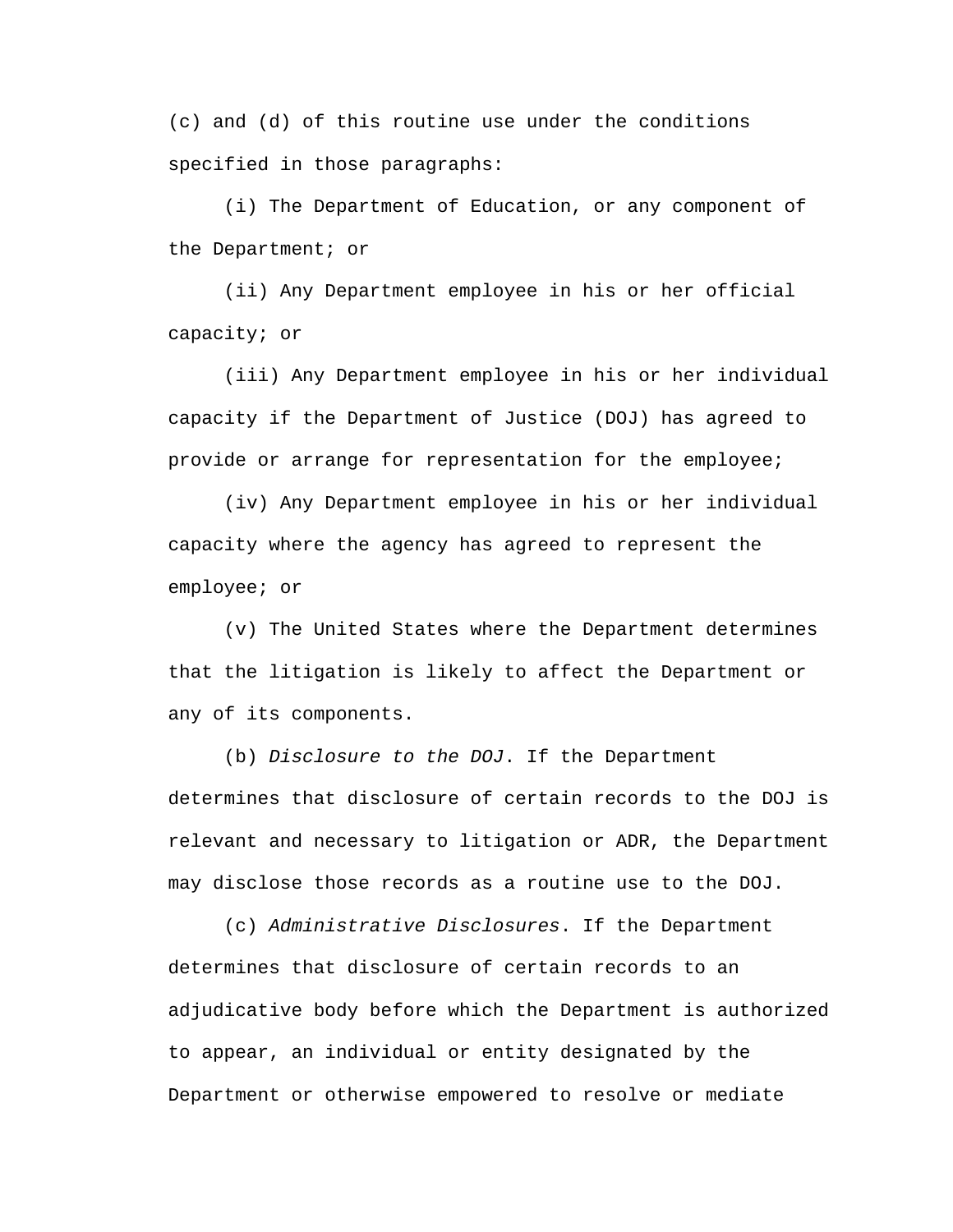(c) and (d) of this routine use under the conditions specified in those paragraphs:

(i) The Department of Education, or any component of the Department; or

(ii) Any Department employee in his or her official capacity; or

(iii) Any Department employee in his or her individual capacity if the Department of Justice (DOJ) has agreed to provide or arrange for representation for the employee;

(iv) Any Department employee in his or her individual capacity where the agency has agreed to represent the employee; or

(v) The United States where the Department determines that the litigation is likely to affect the Department or any of its components.

(b) *Disclosure to the DOJ*. If the Department determines that disclosure of certain records to the DOJ is relevant and necessary to litigation or ADR, the Department may disclose those records as a routine use to the DOJ.

(c) *Administrative Disclosures*. If the Department determines that disclosure of certain records to an adjudicative body before which the Department is authorized to appear, an individual or entity designated by the Department or otherwise empowered to resolve or mediate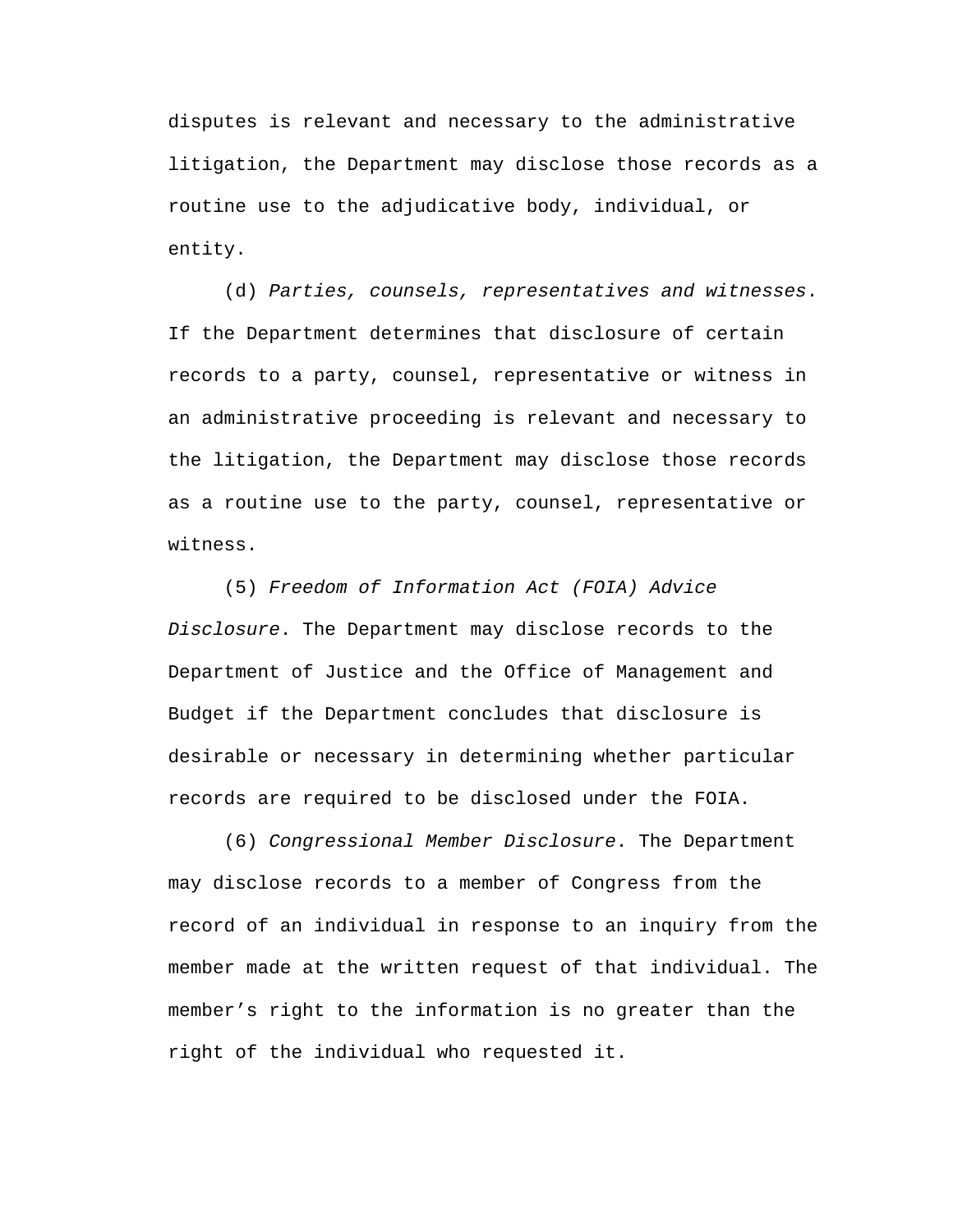disputes is relevant and necessary to the administrative litigation, the Department may disclose those records as a routine use to the adjudicative body, individual, or entity.

(d) *Parties, counsels, representatives and witnesses*. If the Department determines that disclosure of certain records to a party, counsel, representative or witness in an administrative proceeding is relevant and necessary to the litigation, the Department may disclose those records as a routine use to the party, counsel, representative or witness.

(5) *Freedom of Information Act (FOIA) Advice Disclosure*. The Department may disclose records to the Department of Justice and the Office of Management and Budget if the Department concludes that disclosure is desirable or necessary in determining whether particular records are required to be disclosed under the FOIA.

(6) *Congressional Member Disclosure*. The Department may disclose records to a member of Congress from the record of an individual in response to an inquiry from the member made at the written request of that individual. The member's right to the information is no greater than the right of the individual who requested it.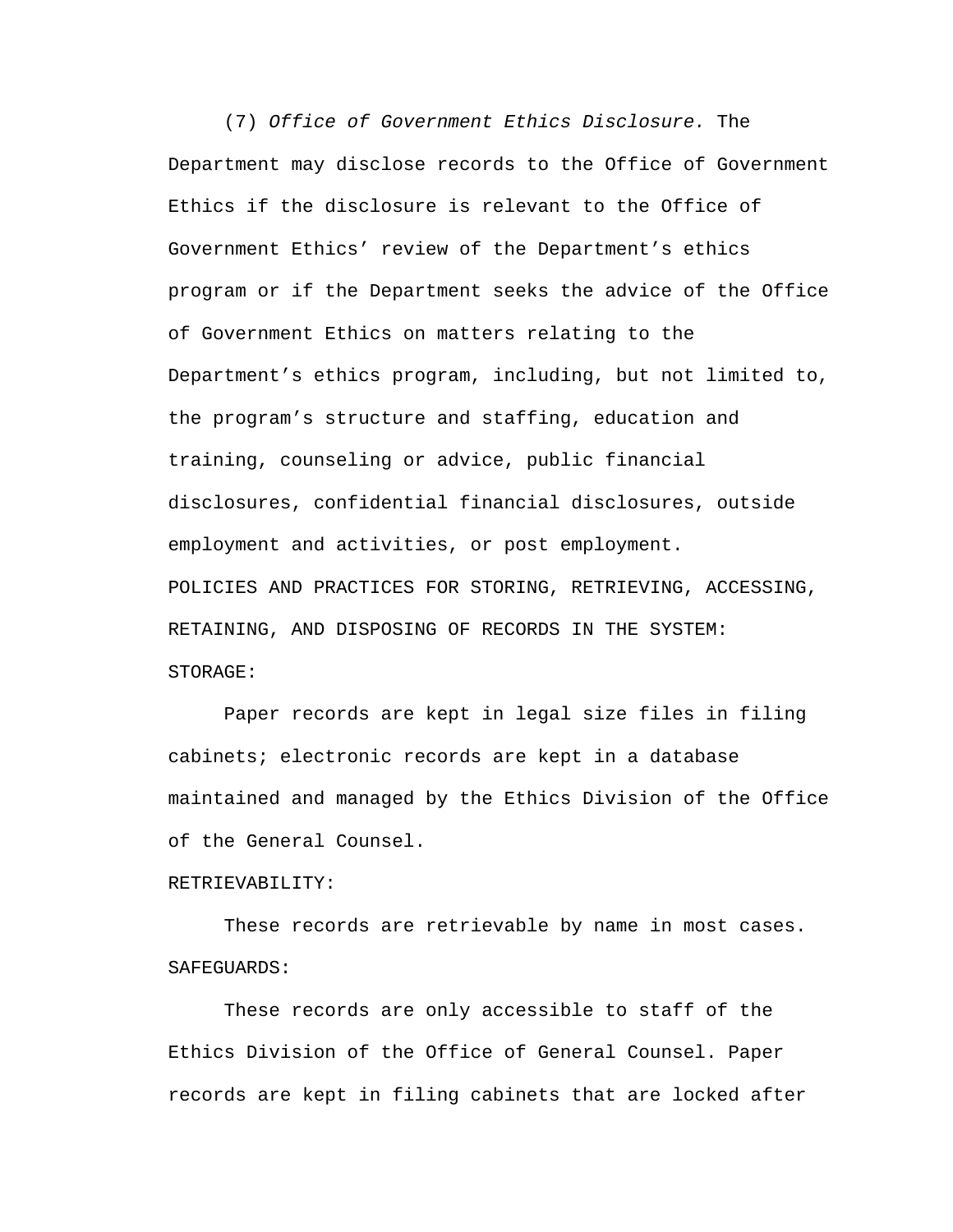(7) *Office of Government Ethics Disclosure.* The Department may disclose records to the Office of Government Ethics if the disclosure is relevant to the Office of Government Ethics' review of the Department's ethics program or if the Department seeks the advice of the Office of Government Ethics on matters relating to the Department's ethics program, including, but not limited to, the program's structure and staffing, education and training, counseling or advice, public financial disclosures, confidential financial disclosures, outside employment and activities, or post employment. POLICIES AND PRACTICES FOR STORING, RETRIEVING, ACCESSING, RETAINING, AND DISPOSING OF RECORDS IN THE SYSTEM: STORAGE:

Paper records are kept in legal size files in filing cabinets; electronic records are kept in a database maintained and managed by the Ethics Division of the Office of the General Counsel.

## RETRIEVABILITY:

These records are retrievable by name in most cases. SAFEGUARDS:

These records are only accessible to staff of the Ethics Division of the Office of General Counsel. Paper records are kept in filing cabinets that are locked after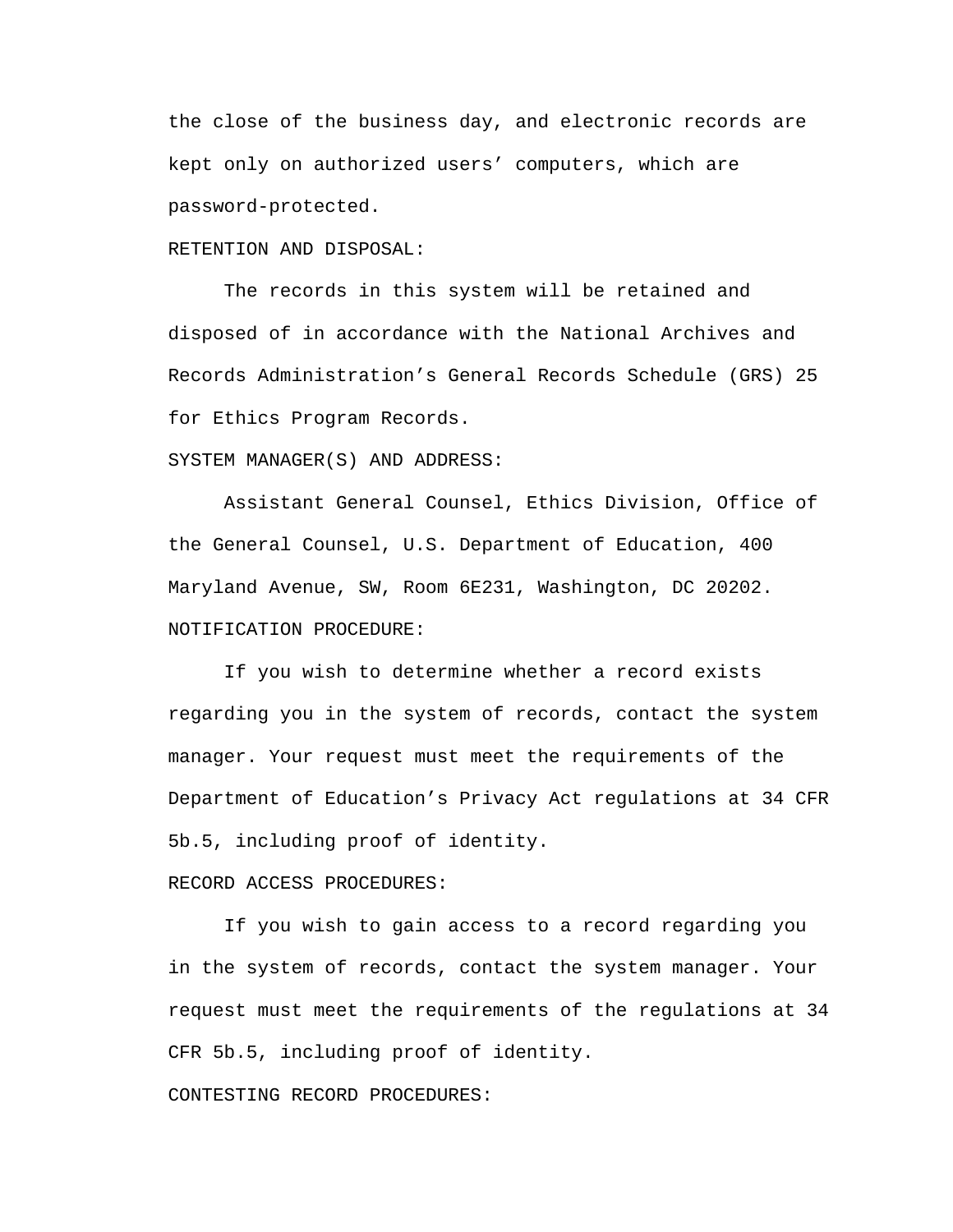the close of the business day, and electronic records are kept only on authorized users' computers, which are password-protected.

## RETENTION AND DISPOSAL:

The records in this system will be retained and disposed of in accordance with the National Archives and Records Administration's General Records Schedule (GRS) 25 for Ethics Program Records.

SYSTEM MANAGER(S) AND ADDRESS:

Assistant General Counsel, Ethics Division, Office of the General Counsel, U.S. Department of Education, 400 Maryland Avenue, SW, Room 6E231, Washington, DC 20202. NOTIFICATION PROCEDURE:

If you wish to determine whether a record exists regarding you in the system of records, contact the system manager. Your request must meet the requirements of the Department of Education's Privacy Act regulations at 34 CFR 5b.5, including proof of identity.

## RECORD ACCESS PROCEDURES:

If you wish to gain access to a record regarding you in the system of records, contact the system manager. Your request must meet the requirements of the regulations at 34 CFR 5b.5, including proof of identity.

CONTESTING RECORD PROCEDURES: